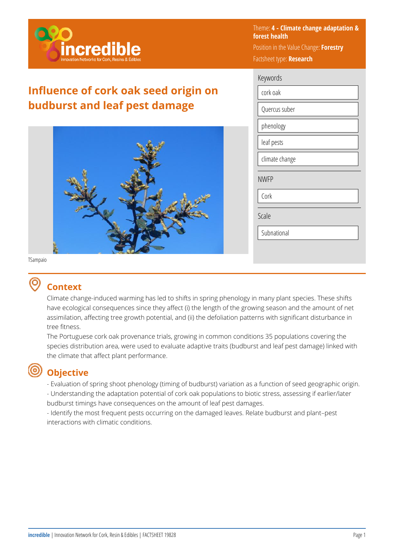

## **Influence of cork oak seed origin on budburst and leaf pest damage**



Theme: **4 - Climate change adaptation & forest health**  Position in the Value Change: **Forestry**  Factsheet type: **Research** 

| Keywords       |
|----------------|
| cork oak       |
| Quercus suber  |
| phenology      |
| leaf pests     |
| climate change |
| <b>NWFP</b>    |
| Cork           |
| Scale          |
| Subnational    |

TSampaio

### **Context**

Climate change-induced warming has led to shifts in spring phenology in many plant species. These shifts have ecological consequences since they affect (i) the length of the growing season and the amount of net assimilation, affecting tree growth potential, and (ii) the defoliation patterns with significant disturbance in tree fitness.

The Portuguese cork oak provenance trials, growing in common conditions 35 populations covering the species distribution area, were used to evaluate adaptive traits (budburst and leaf pest damage) linked with the climate that affect plant performance.

# **Objective**

- Evaluation of spring shoot phenology (timing of budburst) variation as a function of seed geographic origin. - Understanding the adaptation potential of cork oak populations to biotic stress, assessing if earlier/later

budburst timings have consequences on the amount of leaf pest damages.

- Identify the most frequent pests occurring on the damaged leaves. Relate budburst and plant–pest interactions with climatic conditions.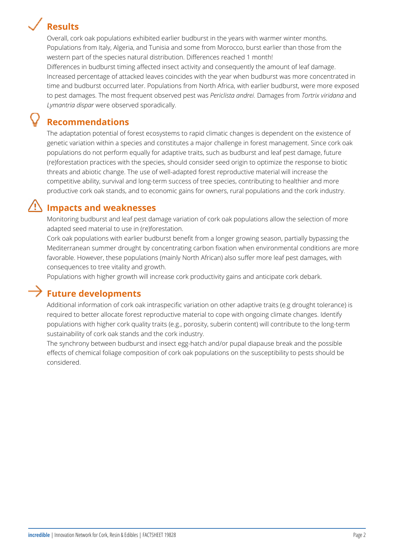# **Results**

Overall, cork oak populations exhibited earlier budburst in the years with warmer winter months. Populations from Italy, Algeria, and Tunisia and some from Morocco, burst earlier than those from the western part of the species natural distribution. Differences reached 1 month!

Differences in budburst timing affected insect activity and consequently the amount of leaf damage. Increased percentage of attacked leaves coincides with the year when budburst was more concentrated in time and budburst occurred later. Populations from North Africa, with earlier budburst, were more exposed to pest damages. The most frequent observed pest was *Periclista andrei.* Damages from *Tortrix viridana* and *Lymantria dispar* were observed sporadically.

### **Recommendations**

The adaptation potential of forest ecosystems to rapid climatic changes is dependent on the existence of genetic variation within a species and constitutes a major challenge in forest management. Since cork oak populations do not perform equally for adaptive traits, such as budburst and leaf pest damage, future (re)forestation practices with the species, should consider seed origin to optimize the response to biotic threats and abiotic change. The use of well-adapted forest reproductive material will increase the competitive ability, survival and long-term success of tree species, contributing to healthier and more productive cork oak stands, and to economic gains for owners, rural populations and the cork industry.

## **Impacts and weaknesses**

Monitoring budburst and leaf pest damage variation of cork oak populations allow the selection of more adapted seed material to use in (re)forestation.

Cork oak populations with earlier budburst benefit from a longer growing season, partially bypassing the Mediterranean summer drought by concentrating carbon fixation when environmental conditions are more favorable. However, these populations (mainly North African) also suffer more leaf pest damages, with consequences to tree vitality and growth.

Populations with higher growth will increase cork productivity gains and anticipate cork debark.

### **Future developments**

Additional information of cork oak intraspecific variation on other adaptive traits (e.g drought tolerance) is required to better allocate forest reproductive material to cope with ongoing climate changes. Identify populations with higher cork quality traits (e.g., porosity, suberin content) will contribute to the long-term sustainability of cork oak stands and the cork industry.

The synchrony between budburst and insect egg-hatch and/or pupal diapause break and the possible effects of chemical foliage composition of cork oak populations on the susceptibility to pests should be considered.